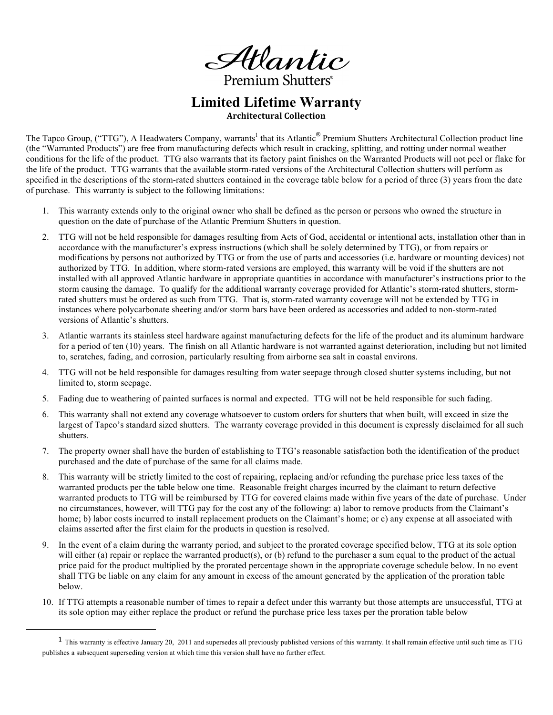Atlantic

Premium Shutters<sup>®</sup>

**Limited Lifetime Warranty Architectural+Collection**

The Tapco Group, ("TTG"), A Headwaters Company, warrants<sup>1</sup> that its Atlantic<sup>®</sup> Premium Shutters Architectural Collection product line (the "Warranted Products") are free from manufacturing defects which result in cracking, splitting, and rotting under normal weather conditions for the life of the product. TTG also warrants that its factory paint finishes on the Warranted Products will not peel or flake for the life of the product. TTG warrants that the available storm-rated versions of the Architectural Collection shutters will perform as specified in the descriptions of the storm-rated shutters contained in the coverage table below for a period of three (3) years from the date of purchase. This warranty is subject to the following limitations:

- 1. This warranty extends only to the original owner who shall be defined as the person or persons who owned the structure in question on the date of purchase of the Atlantic Premium Shutters in question.
- 2. TTG will not be held responsible for damages resulting from Acts of God, accidental or intentional acts, installation other than in accordance with the manufacturer's express instructions (which shall be solely determined by TTG), or from repairs or modifications by persons not authorized by TTG or from the use of parts and accessories (i.e. hardware or mounting devices) not authorized by TTG. In addition, where storm-rated versions are employed, this warranty will be void if the shutters are not installed with all approved Atlantic hardware in appropriate quantities in accordance with manufacturer's instructions prior to the storm causing the damage. To qualify for the additional warranty coverage provided for Atlantic's storm-rated shutters, stormrated shutters must be ordered as such from TTG. That is, storm-rated warranty coverage will not be extended by TTG in instances where polycarbonate sheeting and/or storm bars have been ordered as accessories and added to non-storm-rated versions of Atlantic's shutters.
- 3. Atlantic warrants its stainless steel hardware against manufacturing defects for the life of the product and its aluminum hardware for a period of ten (10) years. The finish on all Atlantic hardware is not warranted against deterioration, including but not limited to, scratches, fading, and corrosion, particularly resulting from airborne sea salt in coastal environs.
- 4. TTG will not be held responsible for damages resulting from water seepage through closed shutter systems including, but not limited to, storm seepage.
- 5. Fading due to weathering of painted surfaces is normal and expected. TTG will not be held responsible for such fading.
- 6. This warranty shall not extend any coverage whatsoever to custom orders for shutters that when built, will exceed in size the largest of Tapco's standard sized shutters. The warranty coverage provided in this document is expressly disclaimed for all such shutters.
- 7. The property owner shall have the burden of establishing to TTG's reasonable satisfaction both the identification of the product purchased and the date of purchase of the same for all claims made.
- 8. This warranty will be strictly limited to the cost of repairing, replacing and/or refunding the purchase price less taxes of the warranted products per the table below one time. Reasonable freight charges incurred by the claimant to return defective warranted products to TTG will be reimbursed by TTG for covered claims made within five years of the date of purchase. Under no circumstances, however, will TTG pay for the cost any of the following: a) labor to remove products from the Claimant's home; b) labor costs incurred to install replacement products on the Claimant's home; or c) any expense at all associated with claims asserted after the first claim for the products in question is resolved.
- 9. In the event of a claim during the warranty period, and subject to the prorated coverage specified below, TTG at its sole option will either (a) repair or replace the warranted product(s), or (b) refund to the purchaser a sum equal to the product of the actual price paid for the product multiplied by the prorated percentage shown in the appropriate coverage schedule below. In no event shall TTG be liable on any claim for any amount in excess of the amount generated by the application of the proration table below.
- 10. If TTG attempts a reasonable number of times to repair a defect under this warranty but those attempts are unsuccessful, TTG at its sole option may either replace the product or refund the purchase price less taxes per the proration table below

 $\overline{a}$ 

 $1$  This warranty is effective January 20, 2011 and supersedes all previously published versions of this warranty. It shall remain effective until such time as TTG publishes a subsequent superseding version at which time this version shall have no further effect.